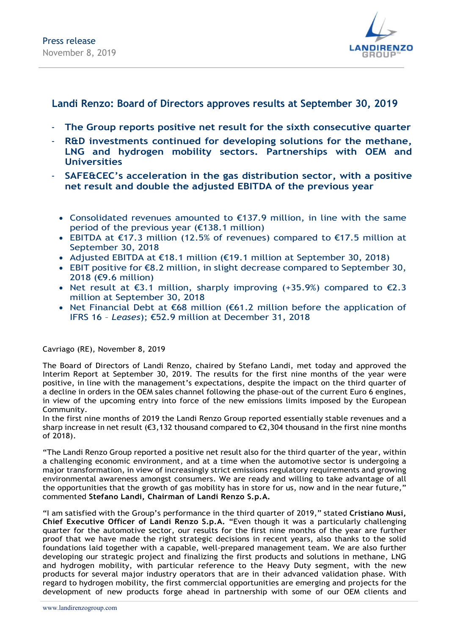

## Landi Renzo: Board of Directors approves results at September 30, 2019

- The Group reports positive net result for the sixth consecutive quarter
- R&D investments continued for developing solutions for the methane, LNG and hydrogen mobility sectors. Partnerships with OEM and **Universities**
- SAFE&CEC's acceleration in the gas distribution sector, with a positive net result and double the adjusted EBITDA of the previous year
	- Consolidated revenues amounted to €137.9 million, in line with the same period of the previous year (€138.1 million)
	- EBITDA at €17.3 million (12.5% of revenues) compared to €17.5 million at September 30, 2018
	- Adjusted EBITDA at €18.1 million (€19.1 million at September 30, 2018)
	- EBIT positive for €8.2 million, in slight decrease compared to September 30, 2018 (€9.6 million)
	- Net result at  $\epsilon$ 3.1 million, sharply improving (+35.9%) compared to  $\epsilon$ 2.3 million at September 30, 2018
	- Net Financial Debt at €68 million (€61.2 million before the application of IFRS 16 – Leases); €52.9 million at December 31, 2018

#### Cavriago (RE), November 8, 2019

The Board of Directors of Landi Renzo, chaired by Stefano Landi, met today and approved the Interim Report at September 30, 2019. The results for the first nine months of the year were positive, in line with the management's expectations, despite the impact on the third quarter of a decline in orders in the OEM sales channel following the phase-out of the current Euro 6 engines, in view of the upcoming entry into force of the new emissions limits imposed by the European Community.

In the first nine months of 2019 the Landi Renzo Group reported essentially stable revenues and a sharp increase in net result ( $\epsilon$ 3,132 thousand compared to  $\epsilon$ 2,304 thousand in the first nine months of 2018).

"The Landi Renzo Group reported a positive net result also for the third quarter of the year, within a challenging economic environment, and at a time when the automotive sector is undergoing a major transformation, in view of increasingly strict emissions regulatory requirements and growing environmental awareness amongst consumers. We are ready and willing to take advantage of all the opportunities that the growth of gas mobility has in store for us, now and in the near future," commented Stefano Landi, Chairman of Landi Renzo S.p.A.

"I am satisfied with the Group's performance in the third quarter of 2019," stated Cristiano Musi, Chief Executive Officer of Landi Renzo S.p.A. "Even though it was a particularly challenging quarter for the automotive sector, our results for the first nine months of the year are further proof that we have made the right strategic decisions in recent years, also thanks to the solid foundations laid together with a capable, well-prepared management team. We are also further developing our strategic project and finalizing the first products and solutions in methane, LNG and hydrogen mobility, with particular reference to the Heavy Duty segment, with the new products for several major industry operators that are in their advanced validation phase. With regard to hydrogen mobility, the first commercial opportunities are emerging and projects for the development of new products forge ahead in partnership with some of our OEM clients and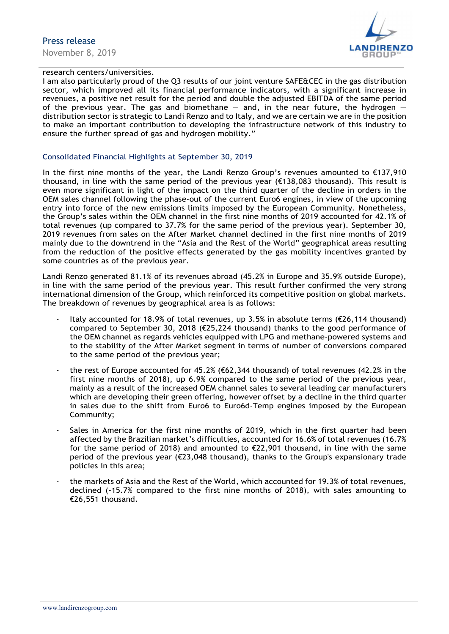

### research centers/universities.

I am also particularly proud of the Q3 results of our joint venture SAFE&CEC in the gas distribution sector, which improved all its financial performance indicators, with a significant increase in revenues, a positive net result for the period and double the adjusted EBITDA of the same period of the previous year. The gas and biomethane  $-$  and, in the near future, the hydrogen  $$ distribution sector is strategic to Landi Renzo and to Italy, and we are certain we are in the position to make an important contribution to developing the infrastructure network of this industry to ensure the further spread of gas and hydrogen mobility."

#### Consolidated Financial Highlights at September 30, 2019

In the first nine months of the year, the Landi Renzo Group's revenues amounted to €137,910 thousand, in line with the same period of the previous year ( $\epsilon$ 138,083 thousand). This result is even more significant in light of the impact on the third quarter of the decline in orders in the OEM sales channel following the phase-out of the current Euro6 engines, in view of the upcoming entry into force of the new emissions limits imposed by the European Community. Nonetheless, the Group's sales within the OEM channel in the first nine months of 2019 accounted for 42.1% of total revenues (up compared to 37.7% for the same period of the previous year). September 30, 2019 revenues from sales on the After Market channel declined in the first nine months of 2019 mainly due to the downtrend in the "Asia and the Rest of the World" geographical areas resulting from the reduction of the positive effects generated by the gas mobility incentives granted by some countries as of the previous year.

Landi Renzo generated 81.1% of its revenues abroad (45.2% in Europe and 35.9% outside Europe), in line with the same period of the previous year. This result further confirmed the very strong international dimension of the Group, which reinforced its competitive position on global markets. The breakdown of revenues by geographical area is as follows:<br>- Italy accounted for 18.9% of total revenues, up 3.5% in absolute terms ( $\epsilon$ 26,114 thousand)

- compared to September 30, 2018 (€25,224 thousand) thanks to the good performance of the OEM channel as regards vehicles equipped with LPG and methane-powered systems and to the stability of the After Market segment in terms of number of conversions compared
- to the same period of the previous year;<br>the rest of Europe accounted for 45.2% (€62,344 thousand) of total revenues (42.2% in the first nine months of 2018), up 6.9% compared to the same period of the previous year, mainly as a result of the increased OEM channel sales to several leading car manufacturers which are developing their green offering, however offset by a decline in the third quarter in sales due to the shift from Euro6 to Euro6d-Temp engines imposed by the European
- Community;<br>Sales in America for the first nine months of 2019, which in the first quarter had been affected by the Brazilian market's difficulties, accounted for 16.6% of total revenues (16.7% for the same period of 2018) and amounted to €22,901 thousand, in line with the same period of the previous year ( $\epsilon$ 23,048 thousand), thanks to the Group's expansionary trade policies in this area;<br>the markets of Asia and the Rest of the World, which accounted for 19.3% of total revenues,
- declined (-15.7% compared to the first nine months of 2018), with sales amounting to €26,551 thousand.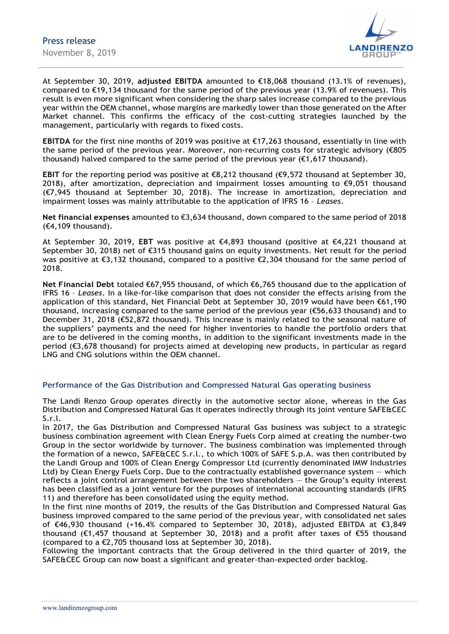

At September 30, 2019, adjusted EBITDA amounted to €18,068 thousand (13.1% of revenues), compared to  $\epsilon$ 19,134 thousand for the same period of the previous year (13.9% of revenues). This result is even more significant when considering the sharp sales increase compared to the previous year within the OEM channel, whose margins are markedly lower than those generated on the After Market channel. This confirms the efficacy of the cost-cutting strategies launched by the management, particularly with regards to fixed costs.

EBITDA for the first nine months of 2019 was positive at €17,263 thousand, essentially in line with the same period of the previous year. Moreover, non-recurring costs for strategic advisory (€805 thousand) halved compared to the same period of the previous year  $(\epsilon 1, 617$  thousand).

EBIT for the reporting period was positive at  $\epsilon$ 8,212 thousand  $(\epsilon$ 9,572 thousand at September 30, 2018), after amortization, depreciation and impairment losses amounting to  $\epsilon$ 9,051 thousand (€7,945 thousand at September 30, 2018). The increase in amortization, depreciation and impairment losses was mainly attributable to the application of IFRS 16 - Leases.

Net financial expenses amounted to €3,634 thousand, down compared to the same period of 2018 (€4,109 thousand).

At September 30, 2019, EBT was positive at  $\epsilon$ 4,893 thousand (positive at  $\epsilon$ 4,221 thousand at September 30, 2018) net of €315 thousand gains on equity investments. Net result for the period was positive at  $\epsilon$ 3,132 thousand, compared to a positive  $\epsilon$ 2,304 thousand for the same period of 2018.

Net Financial Debt totaled €67,955 thousand, of which €6,765 thousand due to the application of IFRS 16 – Leases. In a like-for-like comparison that does not consider the effects arising from the application of this standard, Net Financial Debt at September 30, 2019 would have been €61,190 thousand, increasing compared to the same period of the previous year ( $\epsilon$ 56,633 thousand) and to December 31, 2018 (€52,872 thousand). This increase is mainly related to the seasonal nature of the suppliers' payments and the need for higher inventories to handle the portfolio orders that are to be delivered in the coming months, in addition to the significant investments made in the period (€3,678 thousand) for projects aimed at developing new products, in particular as regard LNG and CNG solutions within the OEM channel.

#### Performance of the Gas Distribution and Compressed Natural Gas operating business

The Landi Renzo Group operates directly in the automotive sector alone, whereas in the Gas Distribution and Compressed Natural Gas it operates indirectly through its joint venture SAFE&CEC S.r.l.

In 2017, the Gas Distribution and Compressed Natural Gas business was subject to a strategic business combination agreement with Clean Energy Fuels Corp aimed at creating the number-two Group in the sector worldwide by turnover. The business combination was implemented through the formation of a newco, SAFE&CEC S.r.l., to which 100% of SAFE S.p.A. was then contributed by the Landi Group and 100% of Clean Energy Compressor Ltd (currently denominated IMW Industries Ltd) by Clean Energy Fuels Corp. Due to the contractually established governance system — which reflects a joint control arrangement between the two shareholders — the Group's equity interest has been classified as a joint venture for the purposes of international accounting standards (IFRS 11) and therefore has been consolidated using the equity method.

In the first nine months of 2019, the results of the Gas Distribution and Compressed Natural Gas business improved compared to the same period of the previous year, with consolidated net sales of €46,930 thousand (+16.4% compared to September 30, 2018), adjusted EBITDA at €3,849 thousand (€1,457 thousand at September 30, 2018) and a profit after taxes of €55 thousand (compared to a €2,705 thousand loss at September 30, 2018).

Following the important contracts that the Group delivered in the third quarter of 2019, the SAFE&CEC Group can now boast a significant and greater-than-expected order backlog.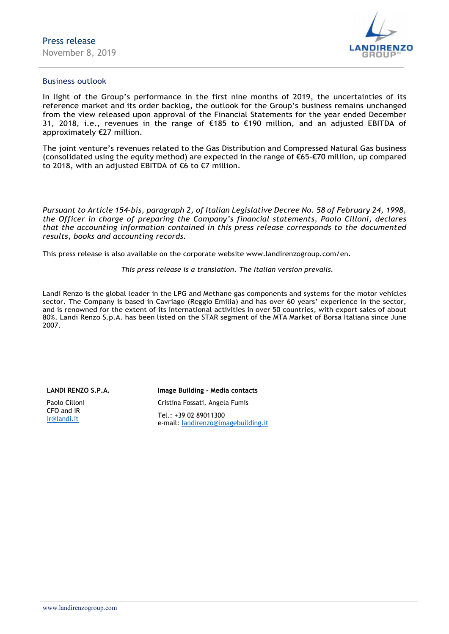

#### Business outlook

In light of the Group's performance in the first nine months of 2019, the uncertainties of its reference market and its order backlog, the outlook for the Group's business remains unchanged from the view released upon approval of the Financial Statements for the year ended December 31, 2018, i.e., revenues in the range of €185 to €190 million, and an adjusted EBITDA of approximately €27 million.

The joint venture's revenues related to the Gas Distribution and Compressed Natural Gas business (consolidated using the equity method) are expected in the range of €65-€70 million, up compared to 2018, with an adjusted EBITDA of €6 to €7 million.

Pursuant to Article 154-bis, paragraph 2, of Italian Legislative Decree No. 58 of February 24, 1998, the Officer in charge of preparing the Company's financial statements, Paolo Cilloni, declares that the accounting information contained in this press release corresponds to the documented results, books and accounting records.

This press release is also available on the corporate website www.landirenzogroup.com/en.

This press release is a translation. The Italian version prevails.

Landi Renzo is the global leader in the LPG and Methane gas components and systems for the motor vehicles sector. The Company is based in Cavriago (Reggio Emilia) and has over 60 years' experience in the sector, and is renowned for the extent of its international activities in over 50 countries, with export sales of about 80%. Landi Renzo S.p.A. has been listed on the STAR segment of the MTA Market of Borsa Italiana since June 2007.

#### LANDI RENZO S.P.A.

Paolo Cilloni CFO and IR ir@landi.it

Image Building - Media contacts Cristina Fossati, Angela Fumis Tel.: +39 02 89011300 e-mail: landirenzo@imagebuilding.it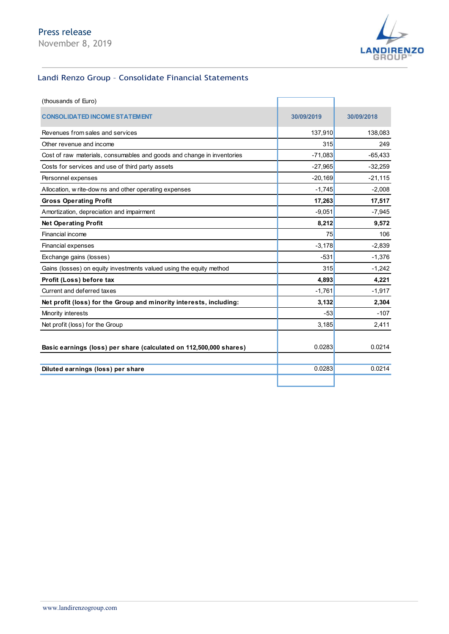

## Landi Renzo Group – Consolidate Financial Statements

|                                                                        |            | <b>LANDIRENZO</b><br>GROUP |
|------------------------------------------------------------------------|------------|----------------------------|
| Landi Renzo Group - Consolidate Financial Statements                   |            |                            |
| (thousands of Euro)                                                    |            |                            |
| <b>CONSOLIDATED INCOME STATEMENT</b>                                   | 30/09/2019 | 30/09/2018                 |
| Revenues from sales and services                                       | 137,910    | 138,083                    |
| Other revenue and income                                               | 315        | 249                        |
| Cost of raw materials, consumables and goods and change in inventories | $-71,083$  | $-65,433$                  |
| Costs for services and use of third party assets                       | $-27,965$  | $-32,259$                  |
| Personnel expenses                                                     | $-20,169$  | $-21,115$                  |
| Allocation, w rite-dow ns and other operating expenses                 | $-1,745$   | $-2,008$                   |
| <b>Gross Operating Profit</b>                                          | 17,263     | 17,517                     |
| Amortization, depreciation and impairment                              | $-9,051$   | $-7,945$                   |
| <b>Net Operating Profit</b>                                            | 8,212      | 9,572                      |
| Financial income                                                       | 75         | 106                        |
| Financial expenses                                                     | $-3,178$   | $-2,839$                   |
| Exchange gains (losses)                                                | $-531$     | $-1,376$                   |
| Gains (losses) on equity investments valued using the equity method    | 315        | $-1,242$                   |
| Profit (Loss) before tax                                               | 4,893      | 4,221                      |
| Current and deferred taxes                                             | $-1,761$   | $-1,917$                   |
| Net profit (loss) for the Group and minority interests, including:     | 3,132      | 2,304                      |
| Minority interests                                                     | $-53$      | $-107$                     |
| Net profit (loss) for the Group                                        | 3,185      | 2,411                      |
| Basic earnings (loss) per share (calculated on 112,500,000 shares)     | 0.0283     | 0.0214                     |
| Diluted earnings (loss) per share                                      | 0.0283     | 0.0214                     |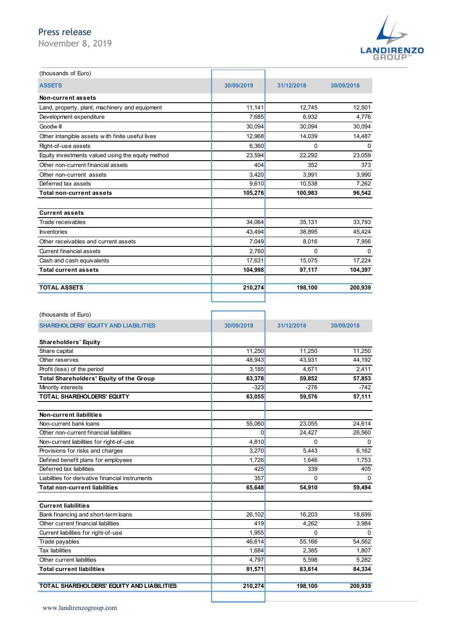## Press release



| Press release                                     |            |             |                   |
|---------------------------------------------------|------------|-------------|-------------------|
| November 8, 2019                                  |            |             |                   |
|                                                   |            |             | <b>LANDIRENZO</b> |
|                                                   |            |             |                   |
| (thousands of Euro)                               |            |             |                   |
|                                                   |            |             |                   |
| <b>ASSETS</b>                                     | 30/09/2019 | 31/12/2018  | 30/09/2018        |
| Non-current assets                                |            |             |                   |
| Land, property, plant, machinery and equipment    | 11,141     | 12,745      | 12,501            |
| Development expenditure                           | 7,685      | 6,932       | 4,776             |
| Goodw ill                                         | 30,094     | 30,094      | 30,094            |
| Other intangible assets with finite useful lives  | 12,968     | 14,039      | 14,487            |
| Right-of-use assets                               | 6,360      | $\mathbf 0$ | $\Omega$          |
| Equity investments valued using the equity method | 23,594     | 22,292      | 23,059            |
| Other non-current financial assets                | 404        | 352         | 373               |
| Other non-current assets                          | 3,420      | 3,991       | 3,990             |
| Deferred tax assets                               | 9,610      | 10,538      | 7,262             |
| <b>Total non-current assets</b>                   | 105,276    | 100,983     | 96,542            |
|                                                   |            |             |                   |
| <b>Current assets</b>                             |            |             |                   |
| Trade receivables                                 | 34,064     | 35,131      | 33,793            |
| Inventories                                       | 43,494     | 38,895      | 45,424            |
| Other receivables and current assets              | 7,049      | 8,016       | 7,956             |
| Current financial assets                          | 2,760      | $\mathbf 0$ | $\mathbf 0$       |
| Cash and cash equivalents                         | 17,631     | 15,075      | 17,224            |
| <b>Total current assets</b>                       | 104,998    | 97,117      | 104,397           |
|                                                   |            |             |                   |
| <b>TOTAL ASSETS</b>                               | 210,274    | 198,100     | 200,939           |
|                                                   |            |             |                   |
|                                                   |            |             |                   |
| (thousands of Euro)                               |            |             |                   |
| SHAREHOLDERS' EQUITY AND LIABILITIES              | 30/09/2019 | 31/12/2018  | 30/09/2018        |
|                                                   |            |             |                   |
| <b>Shareholders' Equity</b>                       |            |             |                   |
| Share capital                                     | 11,250     | 11,250      | 11,250            |
| Other reserves                                    | 48,943     | 43,931      | 44,192            |
| Profit (loss) of the period                       | 3,185      | 4,671       | 2,411             |
| Total Shareholders' Equity of the Group           | 63,378     | 59,852      | 57,853            |
| Minority interests                                | $-323$     | $-276$      | $-742$            |
| TOTAL SHAREHOLDERS' EQUITY                        | 63,055     | 59,576      | 57,111            |
|                                                   |            |             |                   |
| Non-current liabilities                           |            |             |                   |
| Non-current bank loans                            | 55,060     | 23,055      | 24,614            |

| <b>Total non-current assets</b>                  | 105,276    | 100,983     | 96,542     |
|--------------------------------------------------|------------|-------------|------------|
|                                                  |            |             |            |
| <b>Current assets</b>                            |            |             |            |
| Trade receivables                                | 34,064     | 35,131      | 33,793     |
| Inventories                                      | 43,494     | 38,895      | 45,424     |
| Other receivables and current assets             | 7,049      | 8,016       | 7,956      |
| Current financial assets                         | 2,760      | $\mathbf 0$ | 0          |
| Cash and cash equivalents                        | 17,631     | 15,075      | 17,224     |
| <b>Total current assets</b>                      | 104,998    | 97,117      | 104,397    |
|                                                  |            |             |            |
| <b>TOTAL ASSETS</b>                              | 210,274    | 198,100     | 200,939    |
|                                                  |            |             |            |
|                                                  |            |             |            |
| (thousands of Euro)                              |            |             |            |
| <b>SHAREHOLDERS' EQUITY AND LIABILITIES</b>      | 30/09/2019 | 31/12/2018  | 30/09/2018 |
|                                                  |            |             |            |
| <b>Shareholders' Equity</b>                      |            |             |            |
| Share capital                                    | 11,250     | 11,250      | 11,250     |
| Other reserves                                   | 48,943     | 43,931      | 44,192     |
| Profit (loss) of the period                      | 3,185      | 4,671       | 2,411      |
| Total Shareholders' Equity of the Group          | 63,378     | 59,852      | 57,853     |
| Minority interests                               | $-323$     | $-276$      | $-742$     |
| TOTAL SHAREHOLDERS' EQUITY                       | 63,055     | 59,576      | 57,111     |
|                                                  |            |             |            |
| <b>Non-current liabilities</b>                   |            |             |            |
| Non-current bank loans                           | 55,060     | 23,055      | 24,614     |
| Other non-current financial liabilities          | 0          | 24,427      | 26,560     |
| Non-current liabilities for right-of-use         | 4,810      | $\mathbf 0$ | 0          |
| Provisions for risks and charges                 | 3,270      | 5,443       | 6,162      |
| Defined benefit plans for employees              | 1,726      | 1,646       |            |
| Deferred tax liabilities                         | 425        |             | 1,753      |
|                                                  |            | 339         | 405        |
| Liabilities for derivative financial instruments | 357        | $\mathbf 0$ | 0          |
| <b>Total non-current liabilities</b>             | 65,648     | 54,910      | 59,494     |
|                                                  |            |             |            |
| <b>Current liabilities</b>                       |            |             |            |
| Bank financing and short-term loans              | 26,102     | 16,203      | 18,699     |
| Other current financial liabilities              | 419        | 4,262       | 3,984      |
| Current liabilities for right-of-use             | 1,955      | 0           | 0          |
| Trade payables                                   | 46,614     | 55,166      | 54,562     |
| <b>Tax liabilities</b>                           | 1,684      | 2,385       | 1,807      |
| Other current liabilities                        | 4,797      | 5,598       | 5,282      |
| <b>Total current liabilities</b>                 | 81,571     | 83,614      | 84,334     |
|                                                  |            |             |            |
| TOTAL SHAREHOLDERS' EQUITY AND LIABILITIES       | 210,274    | 198,100     | 200,939    |